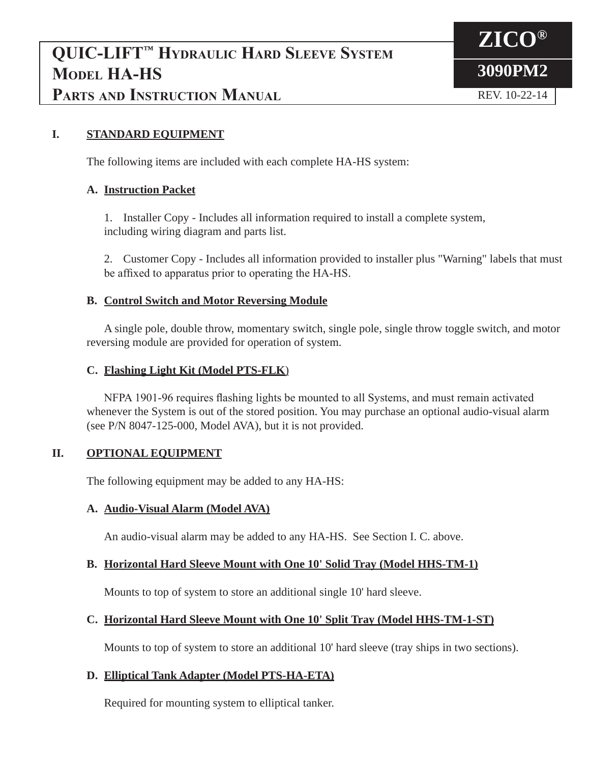# **QUIC-LIFT™ Hydraulic Hard Sleeve System Model HA-HS PARTS AND INSTRUCTION MANUAL REV. 10-22-14**



#### **I. STANDARD EQUIPMENT**

The following items are included with each complete HA-HS system:

#### **A. Instruction Packet**

 1. Installer Copy - Includes all information required to install a complete system, including wiring diagram and parts list.

 2. Customer Copy - Includes all information provided to installer plus "Warning" labels that must be affixed to apparatus prior to operating the HA-HS.

#### **B. Control Switch and Motor Reversing Module**

 A single pole, double throw, momentary switch, single pole, single throw toggle switch, and motor reversing module are provided for operation of system.

#### **C. Flashing Light Kit (Model PTS-FLK**)

 NFPA 1901-96 requires flashing lights be mounted to all Systems, and must remain activated whenever the System is out of the stored position. You may purchase an optional audio-visual alarm (see P/N 8047-125-000, Model AVA), but it is not provided.

#### **II. OPTIONAL EQUIPMENT**

The following equipment may be added to any HA-HS:

#### **A. Audio-Visual Alarm (Model AVA)**

An audio-visual alarm may be added to any HA-HS. See Section I. C. above.

#### **B. Horizontal Hard Sleeve Mount with One 10' Solid Tray (Model HHS-TM-1)**

Mounts to top of system to store an additional single 10' hard sleeve.

#### **C. Horizontal Hard Sleeve Mount with One 10' Split Tray (Model HHS-TM-1-ST)**

Mounts to top of system to store an additional 10' hard sleeve (tray ships in two sections).

#### **D. Elliptical Tank Adapter (Model PTS-HA-ETA)**

Required for mounting system to elliptical tanker.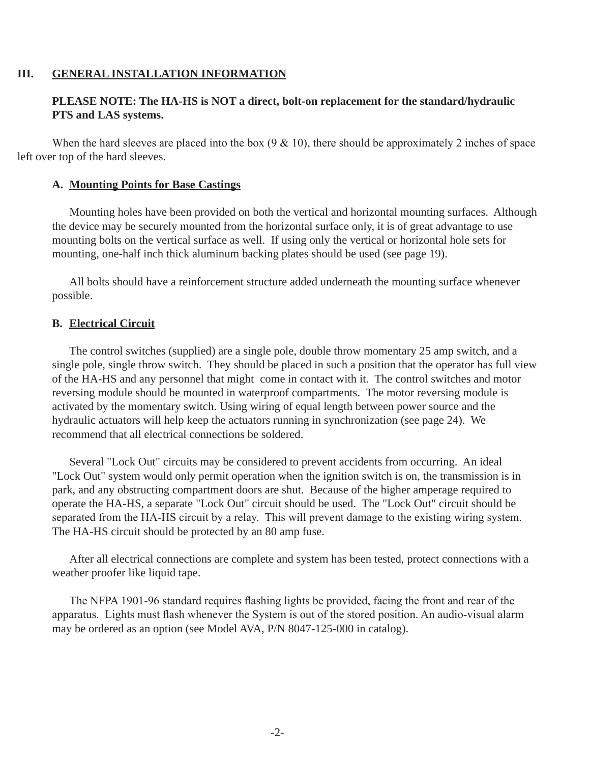#### **III. GENERAL INSTALLATION INFORMATION**

#### **PLEASE NOTE: The HA-HS is NOT a direct, bolt-on replacement for the standard/hydraulic PTS and LAS systems.**

When the hard sleeves are placed into the box  $(9 \& 10)$ , there should be approximately 2 inches of space left over top of the hard sleeves.

#### **A. Mounting Points for Base Castings**

 Mounting holes have been provided on both the vertical and horizontal mounting surfaces. Although the device may be securely mounted from the horizontal surface only, it is of great advantage to use mounting bolts on the vertical surface as well. If using only the vertical or horizontal hole sets for mounting, one-half inch thick aluminum backing plates should be used (see page 19).

 All bolts should have a reinforcement structure added underneath the mounting surface whenever possible.

#### **B. Electrical Circuit**

 The control switches (supplied) are a single pole, double throw momentary 25 amp switch, and a single pole, single throw switch. They should be placed in such a position that the operator has full view of the HA-HS and any personnel that might come in contact with it. The control switches and motor reversing module should be mounted in waterproof compartments. The motor reversing module is activated by the momentary switch. Using wiring of equal length between power source and the hydraulic actuators will help keep the actuators running in synchronization (see page 24). We recommend that all electrical connections be soldered.

 Several "Lock Out" circuits may be considered to prevent accidents from occurring. An ideal "Lock Out" system would only permit operation when the ignition switch is on, the transmission is in park, and any obstructing compartment doors are shut. Because of the higher amperage required to operate the HA-HS, a separate "Lock Out" circuit should be used. The "Lock Out" circuit should be separated from the HA-HS circuit by a relay. This will prevent damage to the existing wiring system. The HA-HS circuit should be protected by an 80 amp fuse.

 After all electrical connections are complete and system has been tested, protect connections with a weather proofer like liquid tape.

 The NFPA 1901-96 standard requires flashing lights be provided, facing the front and rear of the apparatus. Lights must flash whenever the System is out of the stored position. An audio-visual alarm may be ordered as an option (see Model AVA, P/N 8047-125-000 in catalog).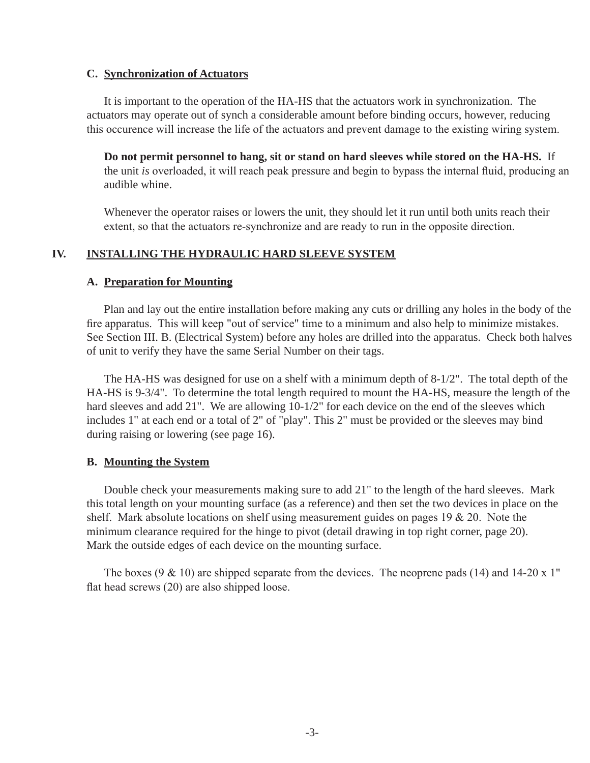#### **C. Synchronization of Actuators**

 It is important to the operation of the HA-HS that the actuators work in synchronization. The actuators may operate out of synch a considerable amount before binding occurs, however, reducing this occurence will increase the life of the actuators and prevent damage to the existing wiring system.

 **Do not permit personnel to hang, sit or stand on hard sleeves while stored on the HA-HS.** If the unit *is* overloaded, it will reach peak pressure and begin to bypass the internal fluid, producing an audible whine.

 Whenever the operator raises or lowers the unit, they should let it run until both units reach their extent, so that the actuators re-synchronize and are ready to run in the opposite direction.

#### **IV. INSTALLING THE HYDRAULIC HARD SLEEVE SYSTEM**

#### **A. Preparation for Mounting**

 Plan and lay out the entire installation before making any cuts or drilling any holes in the body of the fire apparatus. This will keep "out of service" time to a minimum and also help to minimize mistakes. See Section III. B. (Electrical System) before any holes are drilled into the apparatus. Check both halves of unit to verify they have the same Serial Number on their tags.

 The HA-HS was designed for use on a shelf with a minimum depth of 8-1/2". The total depth of the HA-HS is 9-3/4". To determine the total length required to mount the HA-HS, measure the length of the hard sleeves and add 21". We are allowing 10-1/2" for each device on the end of the sleeves which includes 1" at each end or a total of 2" of "play". This 2" must be provided or the sleeves may bind during raising or lowering (see page 16).

#### **B. Mounting the System**

 Double check your measurements making sure to add 21" to the length of the hard sleeves. Mark this total length on your mounting surface (as a reference) and then set the two devices in place on the shelf. Mark absolute locations on shelf using measurement guides on pages  $19 \& 20$ . Note the minimum clearance required for the hinge to pivot (detail drawing in top right corner, page 20). Mark the outside edges of each device on the mounting surface.

The boxes (9  $\&$  10) are shipped separate from the devices. The neoprene pads (14) and 14-20 x 1" flat head screws (20) are also shipped loose.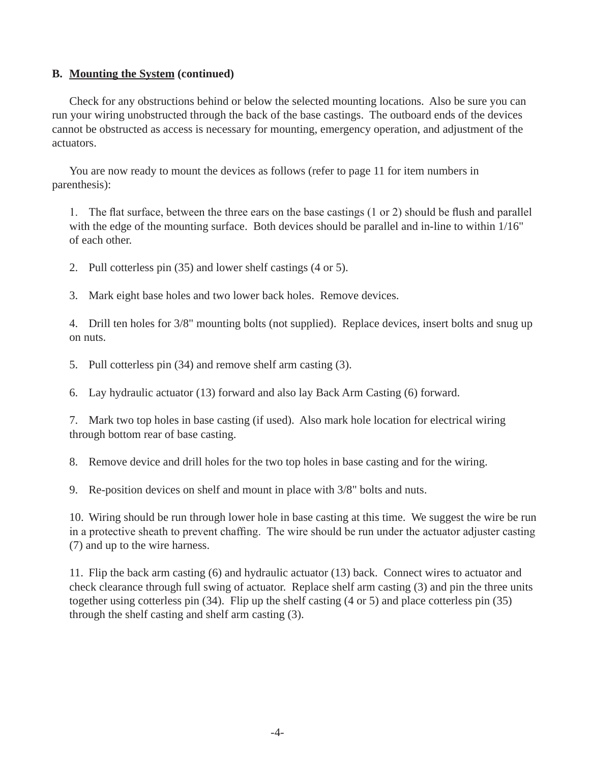#### **B. Mounting the System (continued)**

 Check for any obstructions behind or below the selected mounting locations. Also be sure you can run your wiring unobstructed through the back of the base castings. The outboard ends of the devices cannot be obstructed as access is necessary for mounting, emergency operation, and adjustment of the actuators.

 You are now ready to mount the devices as follows (refer to page 11 for item numbers in parenthesis):

1. The flat surface, between the three ears on the base castings (1 or 2) should be flush and parallel with the edge of the mounting surface. Both devices should be parallel and in-line to within  $1/16$ " of each other.

2. Pull cotterless pin (35) and lower shelf castings (4 or 5).

3. Mark eight base holes and two lower back holes. Remove devices.

 4. Drill ten holes for 3/8" mounting bolts (not supplied). Replace devices, insert bolts and snug up on nuts.

5. Pull cotterless pin (34) and remove shelf arm casting (3).

6. Lay hydraulic actuator (13) forward and also lay Back Arm Casting (6) forward.

 7. Mark two top holes in base casting (if used). Also mark hole location for electrical wiring through bottom rear of base casting.

8. Remove device and drill holes for the two top holes in base casting and for the wiring.

9. Re-position devices on shelf and mount in place with 3/8" bolts and nuts.

 10. Wiring should be run through lower hole in base casting at this time. We suggest the wire be run in a protective sheath to prevent chaffing. The wire should be run under the actuator adjuster casting (7) and up to the wire harness.

 11. Flip the back arm casting (6) and hydraulic actuator (13) back. Connect wires to actuator and check clearance through full swing of actuator. Replace shelf arm casting (3) and pin the three units together using cotterless pin (34). Flip up the shelf casting (4 or 5) and place cotterless pin (35) through the shelf casting and shelf arm casting (3).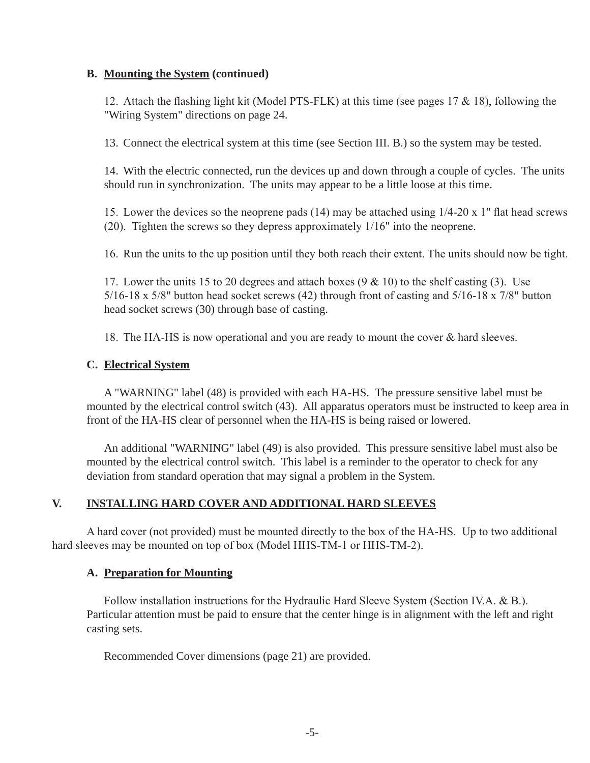#### **B. Mounting the System (continued)**

12. Attach the flashing light kit (Model PTS-FLK) at this time (see pages 17  $\&$  18), following the "Wiring System" directions on page 24.

13. Connect the electrical system at this time (see Section III. B.) so the system may be tested.

 14. With the electric connected, run the devices up and down through a couple of cycles. The units should run in synchronization. The units may appear to be a little loose at this time.

15. Lower the devices so the neoprene pads (14) may be attached using  $1/4-20 \times 1$ " flat head screws (20). Tighten the screws so they depress approximately 1/16" into the neoprene.

16. Run the units to the up position until they both reach their extent. The units should now be tight.

17. Lower the units 15 to 20 degrees and attach boxes  $(9 \& 10)$  to the shelf casting (3). Use 5/16-18 x 5/8" button head socket screws (42) through front of casting and 5/16-18 x 7/8" button head socket screws (30) through base of casting.

18. The HA-HS is now operational and you are ready to mount the cover  $\&$  hard sleeves.

#### **C. Electrical System**

 A "WARNING" label (48) is provided with each HA-HS. The pressure sensitive label must be mounted by the electrical control switch (43). All apparatus operators must be instructed to keep area in front of the HA-HS clear of personnel when the HA-HS is being raised or lowered.

 An additional "WARNING" label (49) is also provided. This pressure sensitive label must also be mounted by the electrical control switch. This label is a reminder to the operator to check for any deviation from standard operation that may signal a problem in the System.

#### **V. INSTALLING HARD COVER AND ADDITIONAL HARD SLEEVES**

 A hard cover (not provided) must be mounted directly to the box of the HA-HS. Up to two additional hard sleeves may be mounted on top of box (Model HHS-TM-1 or HHS-TM-2).

#### **A. Preparation for Mounting**

Follow installation instructions for the Hydraulic Hard Sleeve System (Section IV.A. & B.). Particular attention must be paid to ensure that the center hinge is in alignment with the left and right casting sets.

Recommended Cover dimensions (page 21) are provided.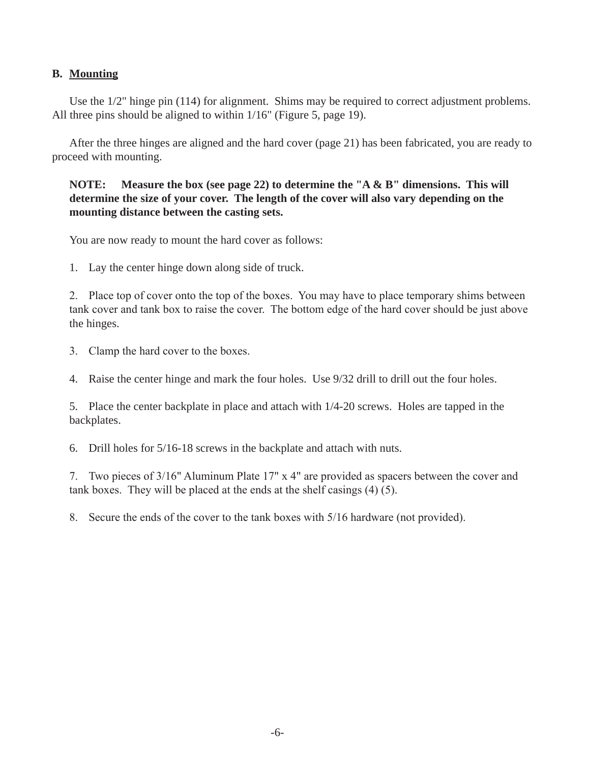#### **B. Mounting**

 Use the 1/2" hinge pin (114) for alignment. Shims may be required to correct adjustment problems. All three pins should be aligned to within 1/16" (Figure 5, page 19).

 After the three hinges are aligned and the hard cover (page 21) has been fabricated, you are ready to proceed with mounting.

#### **NOTE: Measure the box (see page 22) to determine the "A & B" dimensions. This will determine the size of your cover. The length of the cover will also vary depending on the mounting distance between the casting sets.**

You are now ready to mount the hard cover as follows:

1. Lay the center hinge down along side of truck.

2. Place top of cover onto the top of the boxes. You may have to place temporary shims between tank cover and tank box to raise the cover. The bottom edge of the hard cover should be just above the hinges.

 3. Clamp the hard cover to the boxes.

4. Raise the center hinge and mark the four holes. Use 9/32 drill to drill out the four holes.

 5. Place the center backplate in place and attach with 1/4-20 screws. Holes are tapped in the backplates.

6. Drill holes for 5/16-18 screws in the backplate and attach with nuts.

7. Two pieces of 3/16" Aluminum Plate 17" x 4" are provided as spacers between the cover and tank boxes. They will be placed at the ends at the shelf casings (4) (5).

8. Secure the ends of the cover to the tank boxes with  $5/16$  hardware (not provided).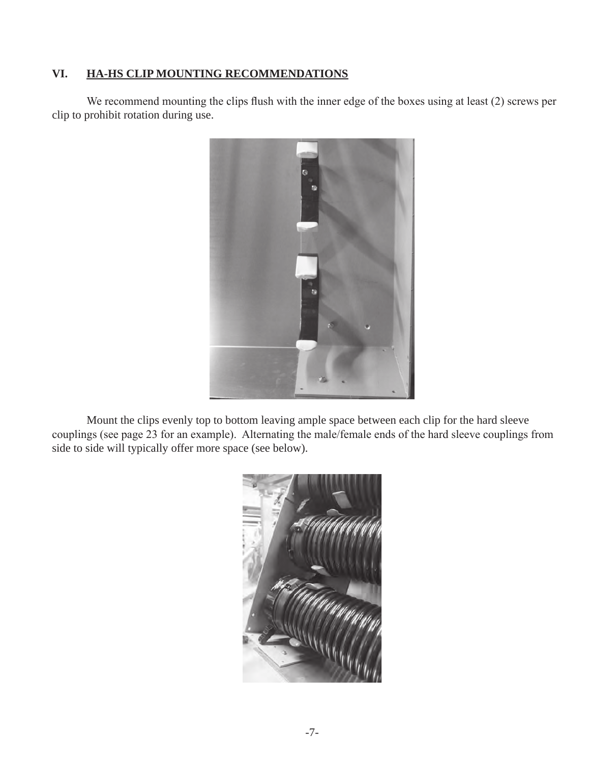#### **VI. HA-HS CLIP MOUNTING RECOMMENDATIONS**

 We recommend mounting the clips flush with the inner edge of the boxes using at least (2) screws per clip to prohibit rotation during use.



 Mount the clips evenly top to bottom leaving ample space between each clip for the hard sleeve couplings (see page 23 for an example). Alternating the male/female ends of the hard sleeve couplings from side to side will typically offer more space (see below).

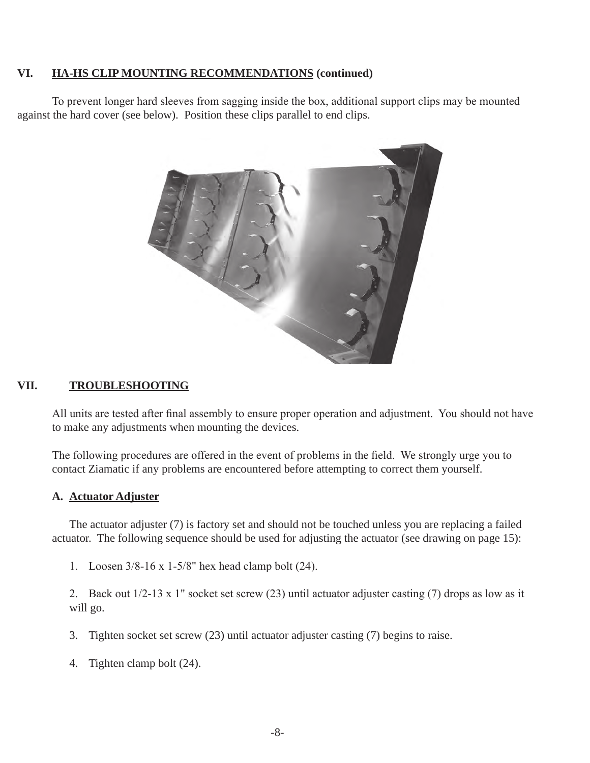#### **VI. HA-HS CLIP MOUNTING RECOMMENDATIONS (continued)**

 To prevent longer hard sleeves from sagging inside the box, additional support clips may be mounted against the hard cover (see below). Position these clips parallel to end clips.



#### **VII. TROUBLESHOOTING**

 All units are tested after final assembly to ensure proper operation and adjustment. You should not have to make any adjustments when mounting the devices.

 The following procedures are offered in the event of problems in the field. We strongly urge you to contact Ziamatic if any problems are encountered before attempting to correct them yourself.

#### **A. Actuator Adjuster**

 The actuator adjuster (7) is factory set and should not be touched unless you are replacing a failed actuator. The following sequence should be used for adjusting the actuator (see drawing on page 15):

1. Loosen  $3/8-16 \times 1-5/8$ " hex head clamp bolt (24).

2. Back out  $1/2-13 \times 1$ " socket set screw (23) until actuator adjuster casting (7) drops as low as it will go.

- 3. Tighten socket set screw (23) until actuator adjuster casting (7) begins to raise.
- 4. Tighten clamp bolt (24).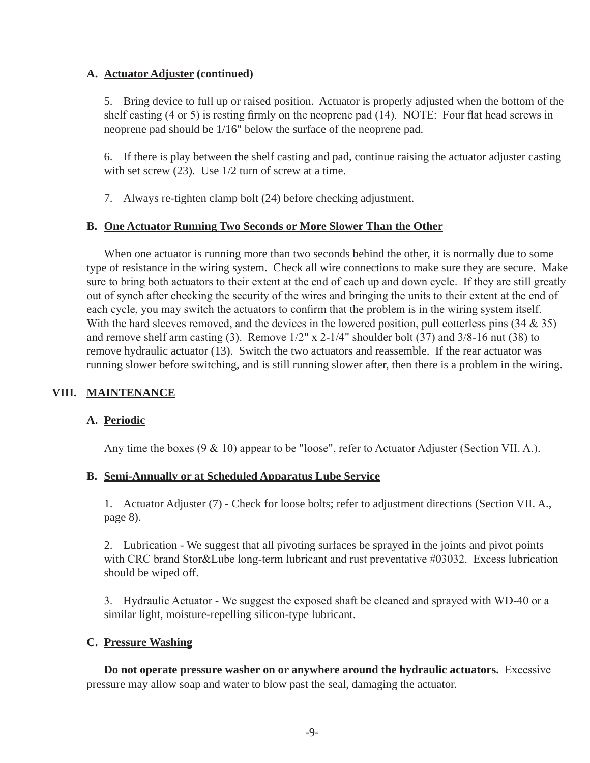#### **A. Actuator Adjuster (continued)**

 5. Bring device to full up or raised position. Actuator is properly adjusted when the bottom of the shelf casting (4 or 5) is resting firmly on the neoprene pad (14). NOTE: Four flat head screws in neoprene pad should be 1/16" below the surface of the neoprene pad.

 6. If there is play between the shelf casting and pad, continue raising the actuator adjuster casting with set screw (23). Use  $1/2$  turn of screw at a time.

7. Always re-tighten clamp bolt (24) before checking adjustment.

#### **B. One Actuator Running Two Seconds or More Slower Than the Other**

 When one actuator is running more than two seconds behind the other, it is normally due to some type of resistance in the wiring system. Check all wire connections to make sure they are secure. Make sure to bring both actuators to their extent at the end of each up and down cycle. If they are still greatly out of synch after checking the security of the wires and bringing the units to their extent at the end of each cycle, you may switch the actuators to confirm that the problem is in the wiring system itself. With the hard sleeves removed, and the devices in the lowered position, pull cotterless pins  $(34 \& 35)$  and remove shelf arm casting (3). Remove 1/2" x 2-1/4" shoulder bolt (37) and 3/8-16 nut (38) to remove hydraulic actuator (13). Switch the two actuators and reassemble. If the rear actuator was running slower before switching, and is still running slower after, then there is a problem in the wiring.

#### **VIII. MAINTENANCE**

#### **A. Periodic**

 Any time the boxes (9 & 10) appear to be "loose", refer to Actuator Adjuster (Section VII. A.).

#### **B. Semi-Annually or at Scheduled Apparatus Lube Service**

 1. Actuator Adjuster (7) - Check for loose bolts; refer to adjustment directions (Section VII. A., page 8).

 2. Lubrication - We suggest that all pivoting surfaces be sprayed in the joints and pivot points with CRC brand Stor&Lube long-term lubricant and rust preventative #03032. Excess lubrication should be wiped off.

3. Hydraulic Actuator - We suggest the exposed shaft be cleaned and sprayed with WD-40 or a similar light, moisture-repelling silicon-type lubricant.

#### **C. Pressure Washing**

 **Do not operate pressure washer on or anywhere around the hydraulic actuators.** Excessive pressure may allow soap and water to blow past the seal, damaging the actuator.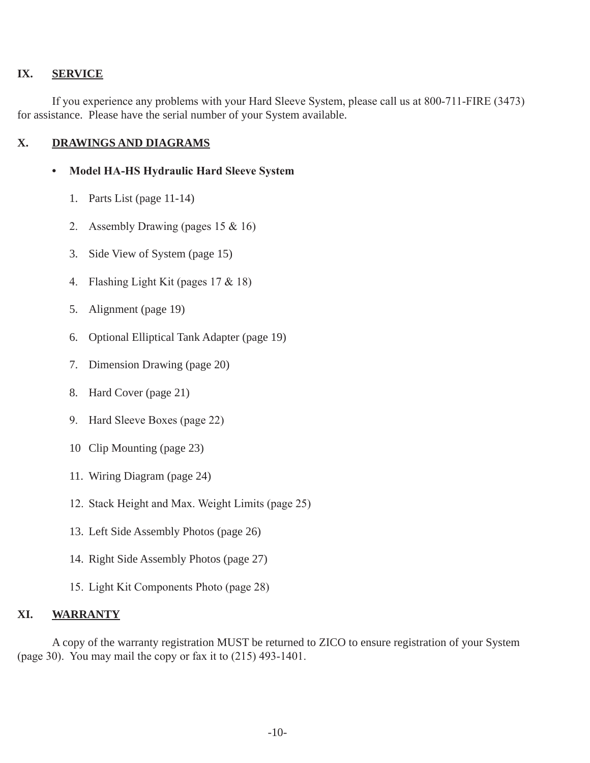#### **IX. SERVICE**

 If you experience any problems with your Hard Sleeve System, please call us at 800-711-FIRE (3473) for assistance. Please have the serial number of your System available.

#### **X. DRAWINGS AND DIAGRAMS**

#### **• Model HA-HS Hydraulic Hard Sleeve System**

- 1. Parts List (page 11-14)
- 2. Assembly Drawing (pages 15 & 16)
- 3. Side View of System (page 15)
- 4. Flashing Light Kit (pages 17 & 18)
- 5. Alignment (page 19)
- 6. Optional Elliptical Tank Adapter (page 19)
- 7. Dimension Drawing (page 20)
- 8. Hard Cover (page 21)
- 9. Hard Sleeve Boxes (page 22)
- 10 Clip Mounting (page 23)
- 11. Wiring Diagram (page 24)
- 12. Stack Height and Max. Weight Limits (page 25)
- 13. Left Side Assembly Photos (page 26)
- 14. Right Side Assembly Photos (page 27)
- 15. Light Kit Components Photo (page 28)

#### **XI. WARRANTY**

A copy of the warranty registration MUST be returned to ZICO to ensure registration of your System (page 30). You may mail the copy or fax it to (215) 493-1401.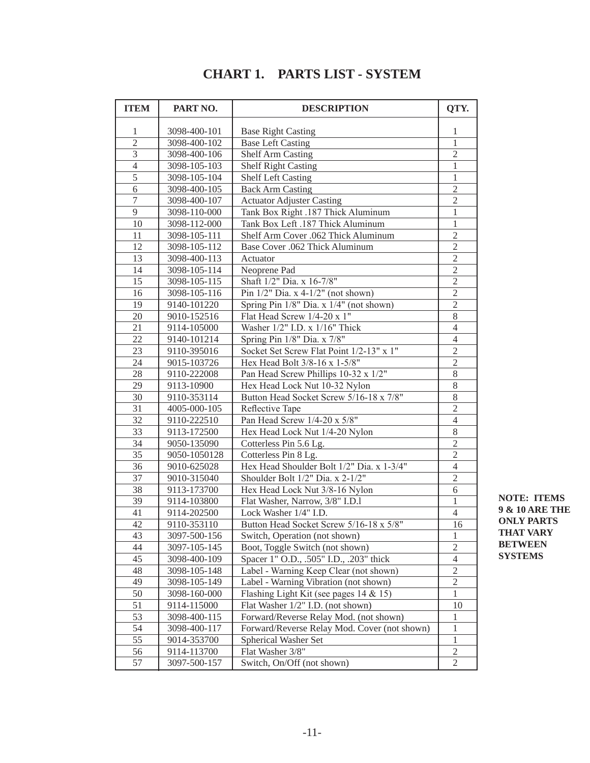| <b>ITEM</b>    | PART NO.     | <b>DESCRIPTION</b>                           |                |
|----------------|--------------|----------------------------------------------|----------------|
| 1              | 3098-400-101 | <b>Base Right Casting</b>                    | 1              |
| $\overline{2}$ | 3098-400-102 | <b>Base Left Casting</b>                     | 1              |
| 3              | 3098-400-106 | <b>Shelf Arm Casting</b>                     | $\mathbf{2}$   |
| $\overline{4}$ | 3098-105-103 | <b>Shelf Right Casting</b>                   | $\mathbf{1}$   |
| 5              | 3098-105-104 | <b>Shelf Left Casting</b>                    | $\mathbf{1}$   |
| 6              | 3098-400-105 | <b>Back Arm Casting</b>                      | $\sqrt{2}$     |
| 7              | 3098-400-107 | <b>Actuator Adjuster Casting</b>             | $\overline{2}$ |
| 9              | 3098-110-000 | Tank Box Right .187 Thick Aluminum           | 1              |
| 10             | 3098-112-000 | Tank Box Left .187 Thick Aluminum            | $\mathbf{1}$   |
| 11             | 3098-105-111 | Shelf Arm Cover .062 Thick Aluminum          | $\mathfrak{2}$ |
| 12             | 3098-105-112 | Base Cover .062 Thick Aluminum               | $\mathfrak{2}$ |
| 13             | 3098-400-113 | Actuator                                     | $\mathbf{2}$   |
| 14             | 3098-105-114 | Neoprene Pad                                 | $\overline{2}$ |
| 15             | 3098-105-115 | Shaft 1/2" Dia. x 16-7/8"                    | $\mathfrak{2}$ |
| 16             | 3098-105-116 | Pin $1/2$ " Dia. x 4-1/2" (not shown)        | $\overline{2}$ |
| 19             | 9140-101220  | Spring Pin 1/8" Dia. x 1/4" (not shown)      | $\overline{2}$ |
| 20             | 9010-152516  | Flat Head Screw 1/4-20 x 1"                  | $\,8\,$        |
| 21             | 9114-105000  | Washer 1/2" I.D. x 1/16" Thick               | $\overline{4}$ |
| 22             | 9140-101214  | Spring Pin 1/8" Dia. x 7/8"                  | $\overline{4}$ |
| 23             | 9110-395016  | Socket Set Screw Flat Point 1/2-13" x 1"     | $\overline{2}$ |
| 24             | 9015-103726  | Hex Head Bolt 3/8-16 x 1-5/8"                | $\overline{2}$ |
| 28             | 9110-222008  | Pan Head Screw Phillips 10-32 x 1/2"         | $8\,$          |
| 29             | 9113-10900   | Hex Head Lock Nut 10-32 Nylon                | $8\,$          |
| 30             | 9110-353114  | Button Head Socket Screw 5/16-18 x 7/8"      | $8\,$          |
| 31             | 4005-000-105 | Reflective Tape                              | $\overline{2}$ |
| 32             | 9110-222510  | Pan Head Screw $1/4-20 \times \frac{5}{8}$ " | $\overline{4}$ |
| 33             | 9113-172500  | Hex Head Lock Nut 1/4-20 Nylon               | $8\,$          |
| 34             | 9050-135090  | Cotterless Pin 5.6 Lg.                       | $\sqrt{2}$     |
| 35             | 9050-1050128 | Cotterless Pin 8 Lg.                         | $\overline{2}$ |
| 36             | 9010-625028  | Hex Head Shoulder Bolt 1/2" Dia. x 1-3/4"    | $\overline{4}$ |
| 37             | 9010-315040  | Shoulder Bolt 1/2" Dia. x 2-1/2"             | $\overline{2}$ |
| 38             | 9113-173700  | Hex Head Lock Nut 3/8-16 Nylon               | $\overline{6}$ |
| 39             | 9114-103800  | Flat Washer, Narrow, 3/8" I.D.1              | $\mathbf{1}$   |
| 41             | 9114-202500  | Lock Washer 1/4" I.D.                        | 4              |
| 42             | 9110-353110  | Button Head Socket Screw 5/16-18 x 5/8"      | 16             |
| 43             | 3097-500-156 | Switch, Operation (not shown)                | 1              |
| 44             | 3097-105-145 | Boot, Toggle Switch (not shown)              | $\mathbf{2}$   |
| 45             | 3098-400-109 | Spacer 1" O.D., .505" I.D., .203" thick      | 4              |
| 48             | 3098-105-148 | Label - Warning Keep Clear (not shown)       | $\mathbf{2}$   |
| 49             | 3098-105-149 | Label - Warning Vibration (not shown)        | $\overline{2}$ |
| 50             | 3098-160-000 | Flashing Light Kit (see pages 14 & 15)       | 1              |
| 51             | 9114-115000  | Flat Washer 1/2" I.D. (not shown)            | 10             |
| 53             | 3098-400-115 | Forward/Reverse Relay Mod. (not shown)       | 1              |
| 54             | 3098-400-117 | Forward/Reverse Relay Mod. Cover (not shown) | $\mathbf{1}$   |
| 55             | 9014-353700  | <b>Spherical Washer Set</b>                  | 1              |
| 56             | 9114-113700  | Flat Washer 3/8"                             | 2              |
| 57             | 3097-500-157 | Switch, On/Off (not shown)                   | $\overline{2}$ |

## **CHART 1. PARTS LIST - SYSTEM**

**NOTE: ITEMS 9 & 10 ARE THE ONLY PARTS THAT VARY BETWEEN SYSTEMS**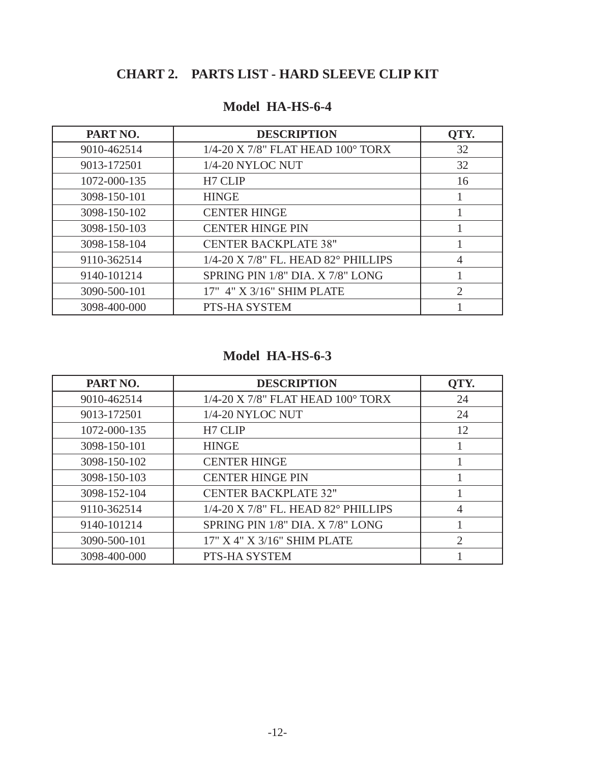## **CHART 2. PARTS LIST - HARD SLEEVE CLIP KIT**

| PART NO.     | <b>DESCRIPTION</b>                               | QTY.                        |
|--------------|--------------------------------------------------|-----------------------------|
| 9010-462514  | 1/4-20 X 7/8" FLAT HEAD 100° TORX                | 32                          |
| 9013-172501  | 1/4-20 NYLOC NUT                                 | 32                          |
| 1072-000-135 | H7 CLIP                                          | 16                          |
| 3098-150-101 | <b>HINGE</b>                                     |                             |
| 3098-150-102 | <b>CENTER HINGE</b>                              |                             |
| 3098-150-103 | <b>CENTER HINGE PIN</b>                          |                             |
| 3098-158-104 | <b>CENTER BACKPLATE 38"</b>                      |                             |
| 9110-362514  | $1/4$ -20 X 7/8" FL. HEAD 82 $^{\circ}$ PHILLIPS | 4                           |
| 9140-101214  | SPRING PIN 1/8" DIA. X 7/8" LONG                 |                             |
| 3090-500-101 | 17" 4" X 3/16" SHIM PLATE                        | $\mathcal{D}_{\mathcal{L}}$ |
| 3098-400-000 | PTS-HA SYSTEM                                    |                             |

### **Model HA-HS-6-4**

### **Model HA-HS-6-3**

| PART NO.     | <b>DESCRIPTION</b>                  | QTY.           |
|--------------|-------------------------------------|----------------|
| 9010-462514  | 1/4-20 X 7/8" FLAT HEAD 100° TORX   | 24             |
| 9013-172501  | 1/4-20 NYLOC NUT                    | 24             |
| 1072-000-135 | H7 CLIP                             | 12             |
| 3098-150-101 | <b>HINGE</b>                        |                |
| 3098-150-102 | <b>CENTER HINGE</b>                 |                |
| 3098-150-103 | <b>CENTER HINGE PIN</b>             |                |
| 3098-152-104 | <b>CENTER BACKPLATE 32"</b>         |                |
| 9110-362514  | 1/4-20 X 7/8" FL. HEAD 82° PHILLIPS | $\overline{4}$ |
| 9140-101214  | SPRING PIN 1/8" DIA. X 7/8" LONG    |                |
| 3090-500-101 | 17" X 4" X 3/16" SHIM PLATE         | $\overline{2}$ |
| 3098-400-000 | PTS-HA SYSTEM                       |                |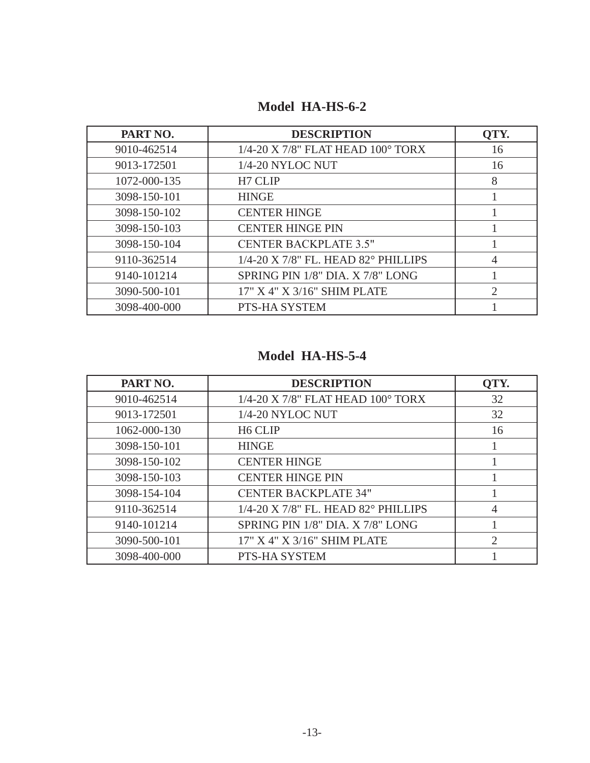| PART NO.     | <b>DESCRIPTION</b>                  | QTY.                        |
|--------------|-------------------------------------|-----------------------------|
| 9010-462514  | 1/4-20 X 7/8" FLAT HEAD 100° TORX   | 16                          |
| 9013-172501  | 1/4-20 NYLOC NUT                    | 16                          |
| 1072-000-135 | H7 CLIP                             | 8                           |
| 3098-150-101 | <b>HINGE</b>                        |                             |
| 3098-150-102 | <b>CENTER HINGE</b>                 |                             |
| 3098-150-103 | <b>CENTER HINGE PIN</b>             |                             |
| 3098-150-104 | <b>CENTER BACKPLATE 3.5"</b>        |                             |
| 9110-362514  | 1/4-20 X 7/8" FL. HEAD 82° PHILLIPS | 4                           |
| 9140-101214  | SPRING PIN 1/8" DIA. X 7/8" LONG    |                             |
| 3090-500-101 | 17" X 4" X 3/16" SHIM PLATE         | $\mathcal{D}_{\mathcal{L}}$ |
| 3098-400-000 | PTS-HA SYSTEM                       |                             |

**Model HA-HS-6-2**

## **Model HA-HS-5-4**

| PART NO.     | <b>DESCRIPTION</b>                  | QTY.           |
|--------------|-------------------------------------|----------------|
| 9010-462514  | 1/4-20 X 7/8" FLAT HEAD 100° TORX   | 32             |
| 9013-172501  | 1/4-20 NYLOC NUT                    | 32             |
| 1062-000-130 | H <sub>6</sub> CLIP                 | 16             |
| 3098-150-101 | <b>HINGE</b>                        |                |
| 3098-150-102 | <b>CENTER HINGE</b>                 |                |
| 3098-150-103 | <b>CENTER HINGE PIN</b>             |                |
| 3098-154-104 | <b>CENTER BACKPLATE 34"</b>         |                |
| 9110-362514  | 1/4-20 X 7/8" FL. HEAD 82° PHILLIPS | 4              |
| 9140-101214  | SPRING PIN 1/8" DIA. X 7/8" LONG    |                |
| 3090-500-101 | 17" X 4" X 3/16" SHIM PLATE         | $\overline{2}$ |
| 3098-400-000 | PTS-HA SYSTEM                       |                |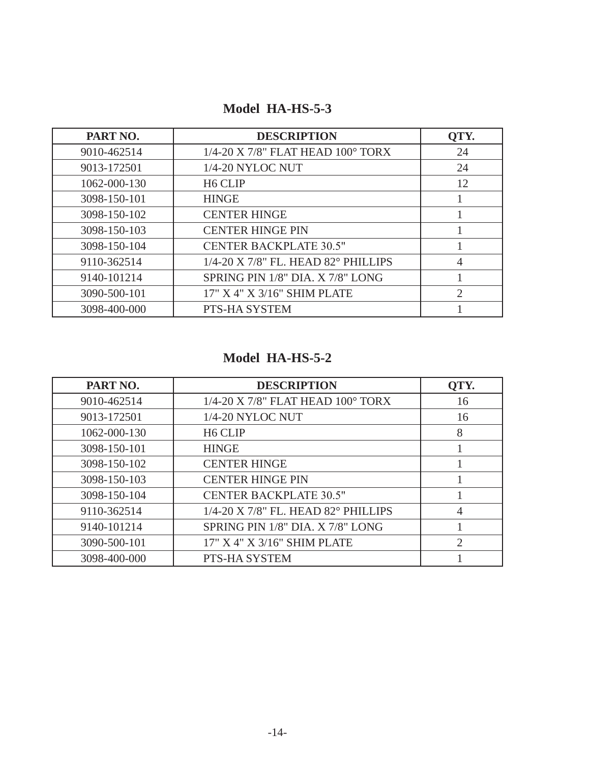## **Model HA-HS-5-3**

| PART NO.     | <b>DESCRIPTION</b>                  | QTY.           |
|--------------|-------------------------------------|----------------|
| 9010-462514  | 1/4-20 X 7/8" FLAT HEAD 100° TORX   | 24             |
| 9013-172501  | 1/4-20 NYLOC NUT                    | 24             |
| 1062-000-130 | H <sub>6</sub> CLIP                 | 12             |
| 3098-150-101 | <b>HINGE</b>                        |                |
| 3098-150-102 | <b>CENTER HINGE</b>                 |                |
| 3098-150-103 | <b>CENTER HINGE PIN</b>             |                |
| 3098-150-104 | <b>CENTER BACKPLATE 30.5"</b>       |                |
| 9110-362514  | 1/4-20 X 7/8" FL. HEAD 82° PHILLIPS | 4              |
| 9140-101214  | SPRING PIN 1/8" DIA. X 7/8" LONG    |                |
| 3090-500-101 | 17" X 4" X 3/16" SHIM PLATE         | $\overline{2}$ |
| 3098-400-000 | PTS-HA SYSTEM                       |                |

## **Model HA-HS-5-2**

| PART NO.     | <b>DESCRIPTION</b>                  | QTY.                        |
|--------------|-------------------------------------|-----------------------------|
| 9010-462514  | 1/4-20 X 7/8" FLAT HEAD 100° TORX   | 16                          |
| 9013-172501  | 1/4-20 NYLOC NUT                    | 16                          |
| 1062-000-130 | H <sub>6</sub> CLIP                 | 8                           |
| 3098-150-101 | <b>HINGE</b>                        |                             |
| 3098-150-102 | <b>CENTER HINGE</b>                 |                             |
| 3098-150-103 | <b>CENTER HINGE PIN</b>             |                             |
| 3098-150-104 | <b>CENTER BACKPLATE 30.5"</b>       |                             |
| 9110-362514  | 1/4-20 X 7/8" FL. HEAD 82° PHILLIPS | $\overline{4}$              |
| 9140-101214  | SPRING PIN 1/8" DIA. X 7/8" LONG    |                             |
| 3090-500-101 | 17" X 4" X 3/16" SHIM PLATE         | $\mathcal{D}_{\mathcal{L}}$ |
| 3098-400-000 | PTS-HA SYSTEM                       |                             |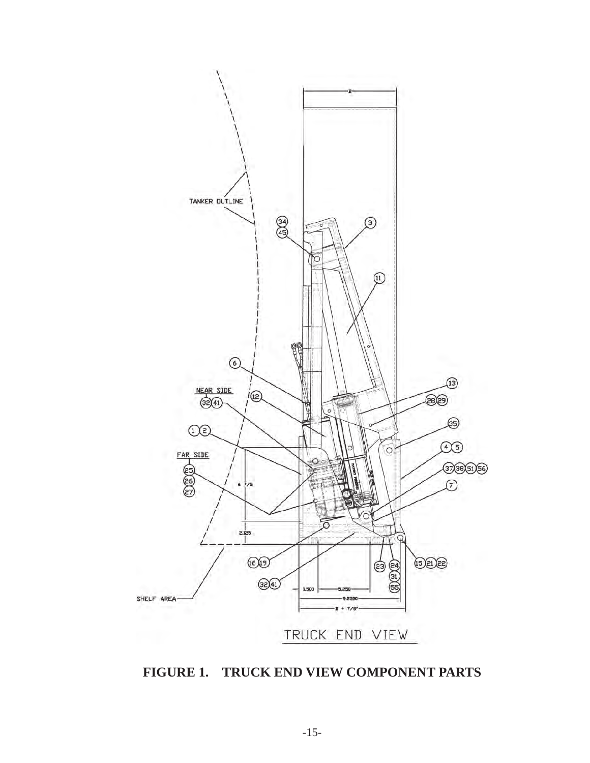

**FIGURE 1. TRUCK END VIEW COMPONENT PARTS**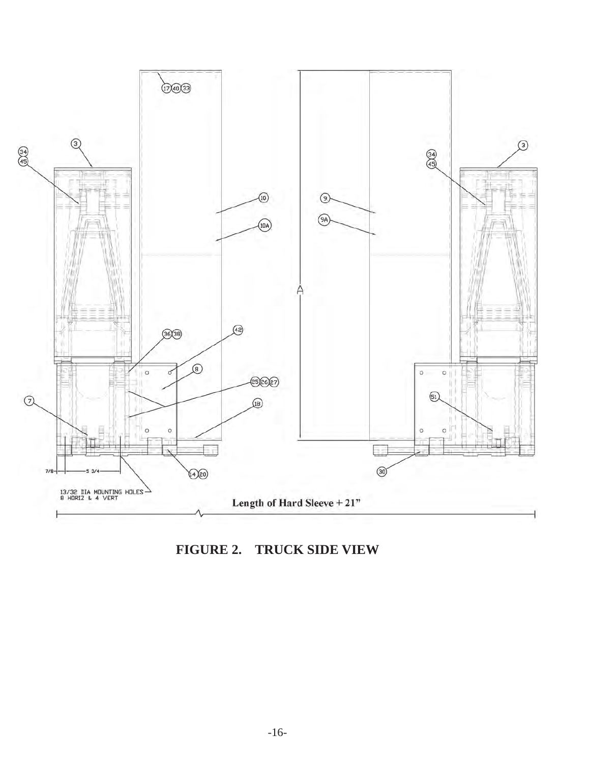

**FIGURE 2. TRUCK SIDE VIEW**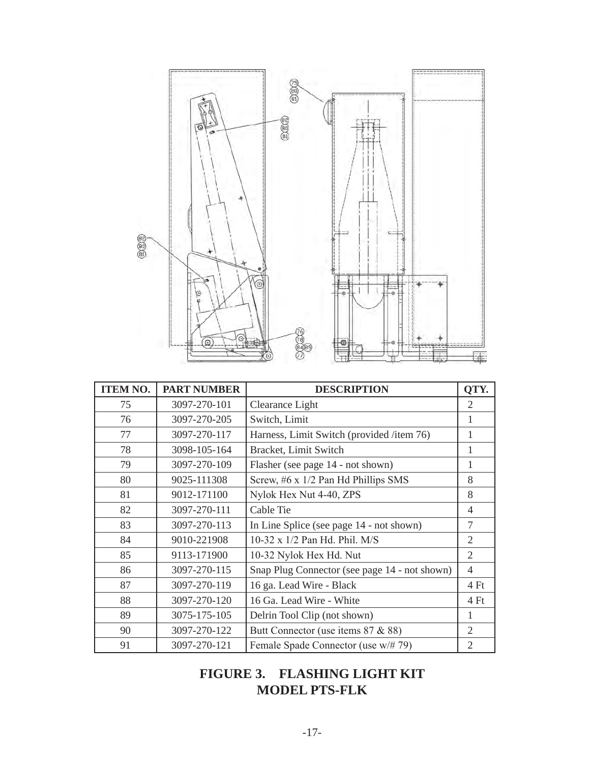

| <b>ITEM NO.</b> | <b>PART NUMBER</b> | <b>DESCRIPTION</b>                            | QTY.           |
|-----------------|--------------------|-----------------------------------------------|----------------|
| 75              | 3097-270-101       | Clearance Light                               | 2              |
| 76              | 3097-270-205       | Switch, Limit                                 | 1              |
| 77              | 3097-270-117       | Harness, Limit Switch (provided /item 76)     | 1              |
| 78              | 3098-105-164       | Bracket, Limit Switch                         | 1              |
| 79              | 3097-270-109       | Flasher (see page 14 - not shown)             | 1              |
| 80              | 9025-111308        | Screw, #6 x 1/2 Pan Hd Phillips SMS           | 8              |
| 81              | 9012-171100        | Nylok Hex Nut 4-40, ZPS                       | 8              |
| 82              | 3097-270-111       | Cable Tie                                     | $\overline{4}$ |
| 83              | 3097-270-113       | In Line Splice (see page 14 - not shown)      | 7              |
| 84              | 9010-221908        | 10-32 x 1/2 Pan Hd. Phil. M/S                 | $\overline{2}$ |
| 85              | 9113-171900        | 10-32 Nylok Hex Hd. Nut                       | $\overline{2}$ |
| 86              | 3097-270-115       | Snap Plug Connector (see page 14 - not shown) | $\overline{4}$ |
| 87              | 3097-270-119       | 16 ga. Lead Wire - Black                      | 4 Ft           |
| 88              | 3097-270-120       | 16 Ga. Lead Wire - White                      | 4 Ft           |
| 89              | 3075-175-105       | Delrin Tool Clip (not shown)                  | 1              |
| 90              | 3097-270-122       | Butt Connector (use items 87 & 88)            | $\overline{2}$ |
| 91              | 3097-270-121       | Female Spade Connector (use w/# 79)           | $\overline{2}$ |

## **FIGURE 3. FLASHING LIGHT KIT MODEL PTS-FLK**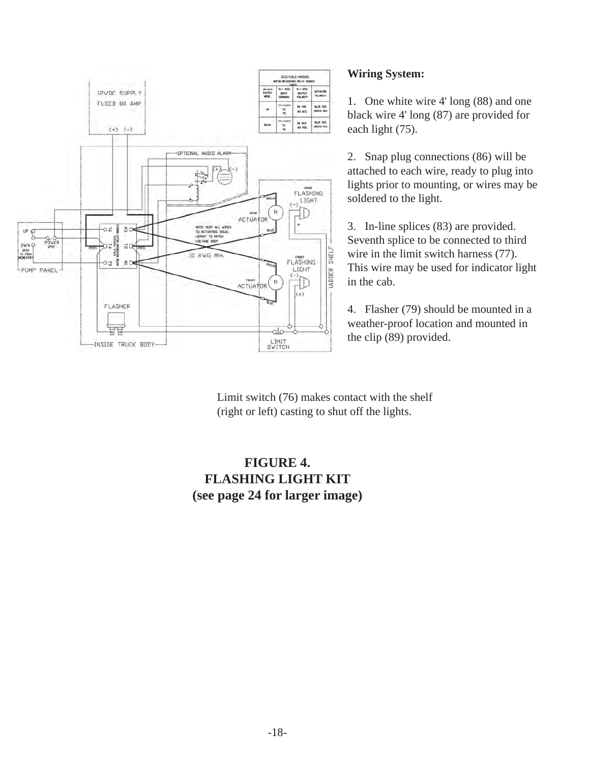

#### **Wiring System:**

1. One white wire 4' long (88) and one black wire 4' long (87) are provided for each light (75).

2. Snap plug connections (86) will be attached to each wire, ready to plug into lights prior to mounting, or wires may be soldered to the light.

3. In-line splices (83) are provided. Seventh splice to be connected to third wire in the limit switch harness (77). This wire may be used for indicator light in the cab.

4. Flasher (79) should be mounted in a weather-proof location and mounted in the clip (89) provided.

Limit switch (76) makes contact with the shelf (right or left) casting to shut off the lights.

### **FIGURE 4. FLASHING LIGHT KIT (see page 24 for larger image)**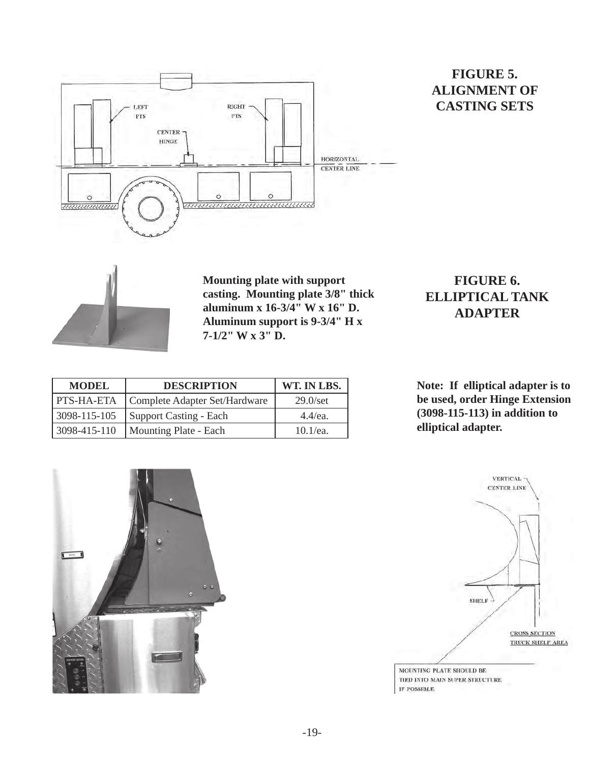

### **FIGURE 5. ALIGNMENT OF CASTING SETS**



**Mounting plate with support casting. Mounting plate 3/8" thick aluminum x 16-3/4" W x 16" D. Aluminum support is 9-3/4" H x 7-1/2" W x 3" D.**

## **FIGURE 6. ELLIPTICAL TANK ADAPTER**

| <b>DESCRIPTION</b><br><b>MODEL</b> |                               | WT. IN LBS.       |
|------------------------------------|-------------------------------|-------------------|
| <b>PTS-HA-ETA</b>                  | Complete Adapter Set/Hardware | $29.0/\text{set}$ |
| 3098-115-105                       | Support Casting - Each        | $4.4$ /ea.        |
| 3098-415-110                       | Mounting Plate - Each         | $10.1$ /ea.       |

**Note: If elliptical adapter is to be used, order Hinge Extension (3098-115-113) in addition to elliptical adapter.**



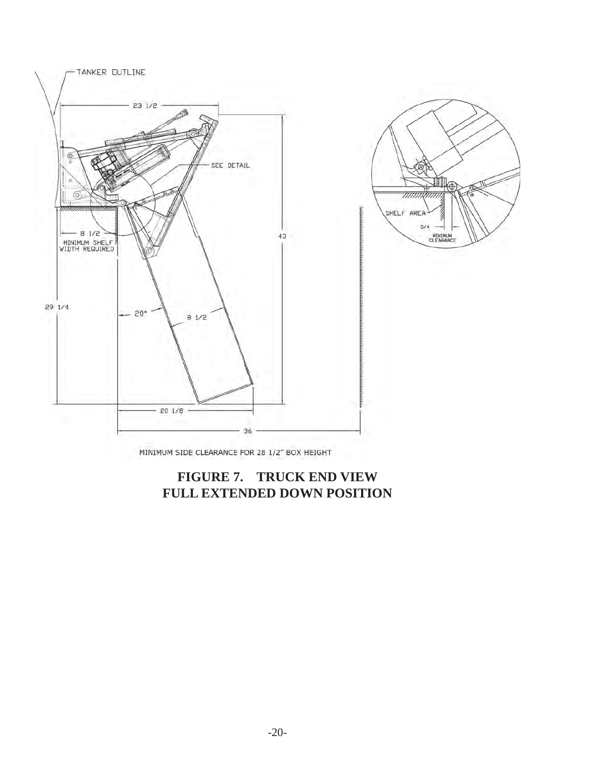

MINIMUM SIDE CLEARANCE FOR 28 1/2" BOX HEIGHT

### **FIGURE 7. TRUCK END VIEW FULL EXTENDED DOWN POSITION**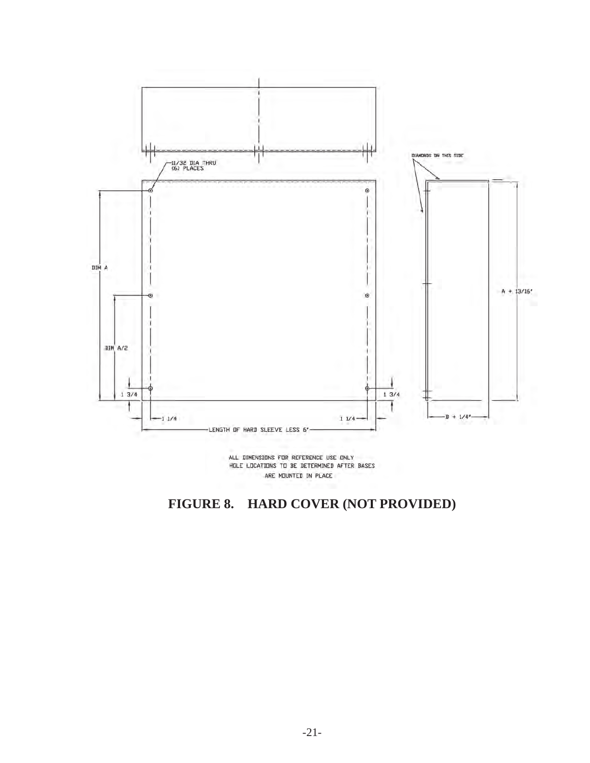

ALL DIMENSIONS FOR REFERENCE USE ONLY HOLE LOCATIONS TO BE DETERMINED AFTER BASES ARE MOUNTED IN PLACE

## **FIGURE 8. HARD COVER (NOT PROVIDED)**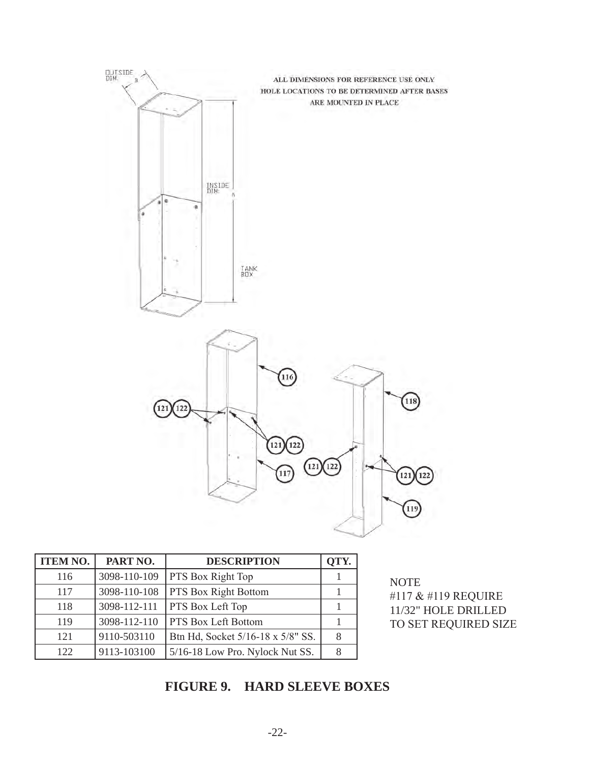

| <b>ITEM NO.</b> | PART NO.     | <b>DESCRIPTION</b>                | OTY. |
|-----------------|--------------|-----------------------------------|------|
| 116             | 3098-110-109 | <b>PTS Box Right Top</b>          |      |
| 117             | 3098-110-108 | <b>PTS Box Right Bottom</b>       |      |
| 118             | 3098-112-111 | <b>PTS</b> Box Left Top           |      |
| 119             | 3098-112-110 | <b>PTS Box Left Bottom</b>        |      |
| 121             | 9110-503110  | Btn Hd, Socket 5/16-18 x 5/8" SS. |      |
| 122             | 9113-103100  | 5/16-18 Low Pro. Nylock Nut SS.   |      |

**NOTE** #117 & #119 REQUIRE 11/32" HOLE DRILLED TO SET REQUIRED SIZE

## **FIGURE 9. HARD SLEEVE BOXES**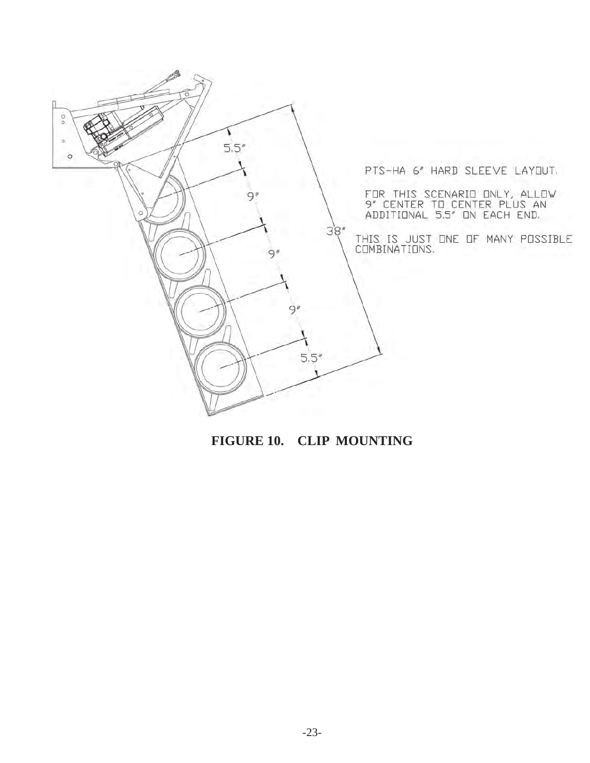

**FIGURE 10. CLIP MOUNTING**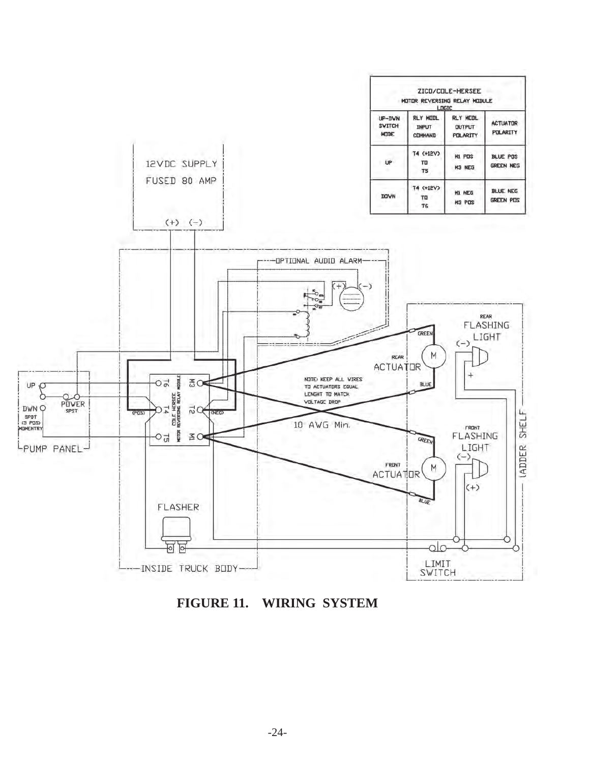

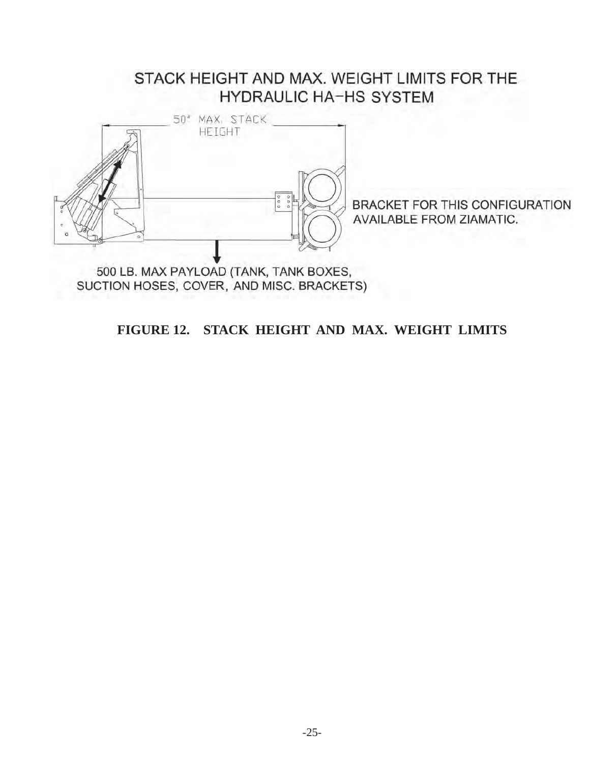## STACK HEIGHT AND MAX. WEIGHT LIMITS FOR THE **HYDRAULIC HA-HS SYSTEM**



BRACKET FOR THIS CONFIGURATION **AVAILABLE FROM ZIAMATIC.** 

**FIGURE 12. STACK HEIGHT AND MAX. WEIGHT LIMITS**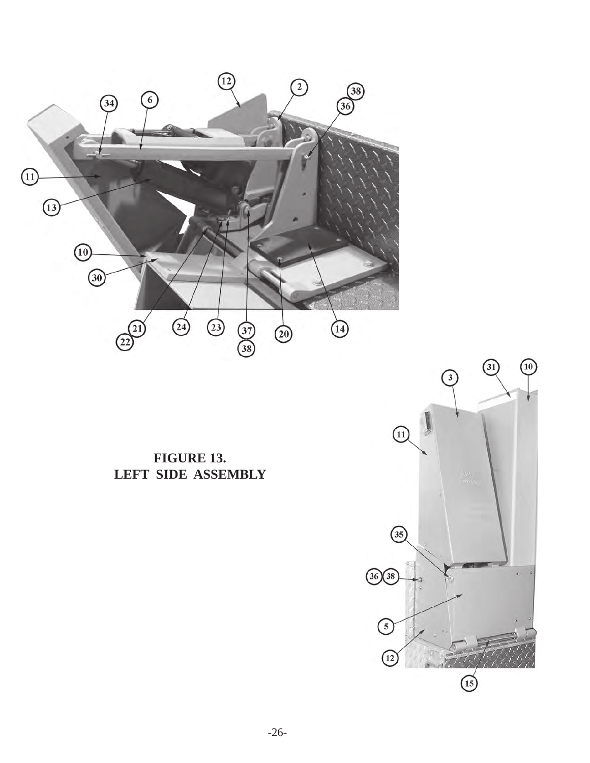

**FIGURE 13. LEFT SIDE ASSEMBLY**

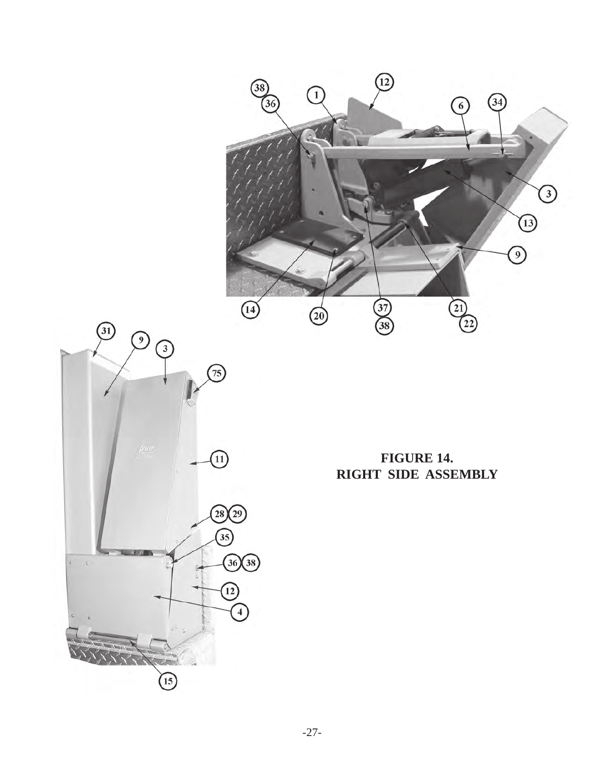



**FIGURE 14. RIGHT SIDE ASSEMBLY**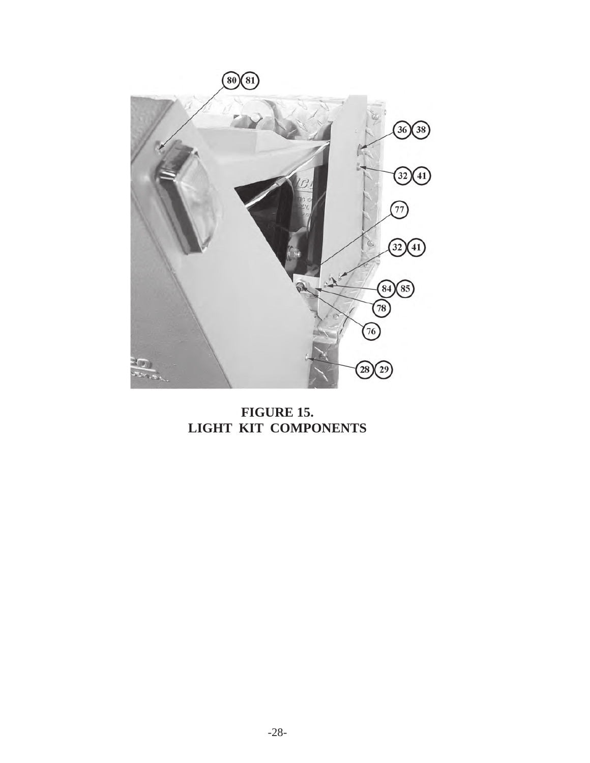

**FIGURE 15. LIGHT KIT COMPONENTS**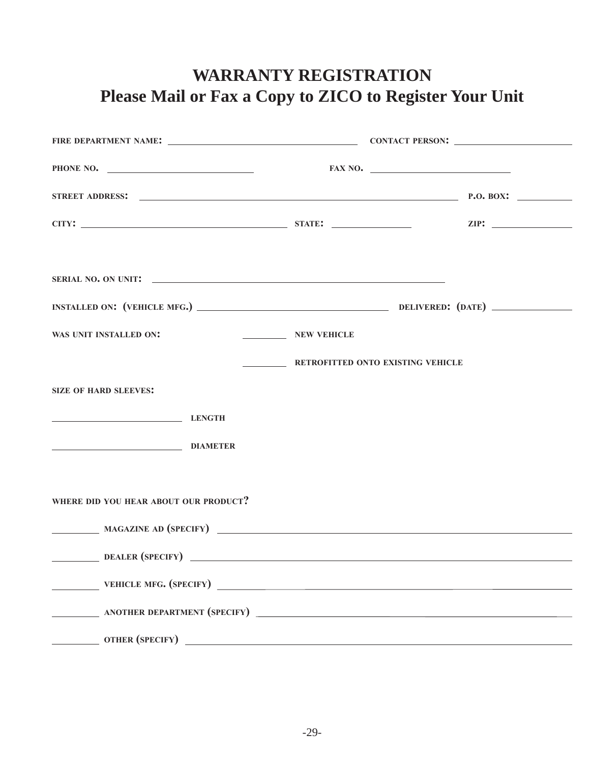# **WARRANTY REGISTRATION Please Mail or Fax a Copy to ZICO to Register Your Unit**

| PHONE NO.                             |                                   | FAX NO. |
|---------------------------------------|-----------------------------------|---------|
|                                       |                                   |         |
|                                       |                                   |         |
|                                       |                                   |         |
|                                       |                                   |         |
| WAS UNIT INSTALLED ON:                | NEW VEHICLE                       |         |
|                                       | RETROFITTED ONTO EXISTING VEHICLE |         |
| <b>SIZE OF HARD SLEEVES:</b>          |                                   |         |
| LENGTH                                |                                   |         |
| DIAMETER                              |                                   |         |
|                                       |                                   |         |
| WHERE DID YOU HEAR ABOUT OUR PRODUCT? |                                   |         |
| MAGAZINE AD (SPECIFY)                 |                                   |         |
| DEALER (SPECIFY)                      |                                   |         |
|                                       |                                   |         |
|                                       |                                   |         |
| OTHER (SPECIFY)                       |                                   |         |